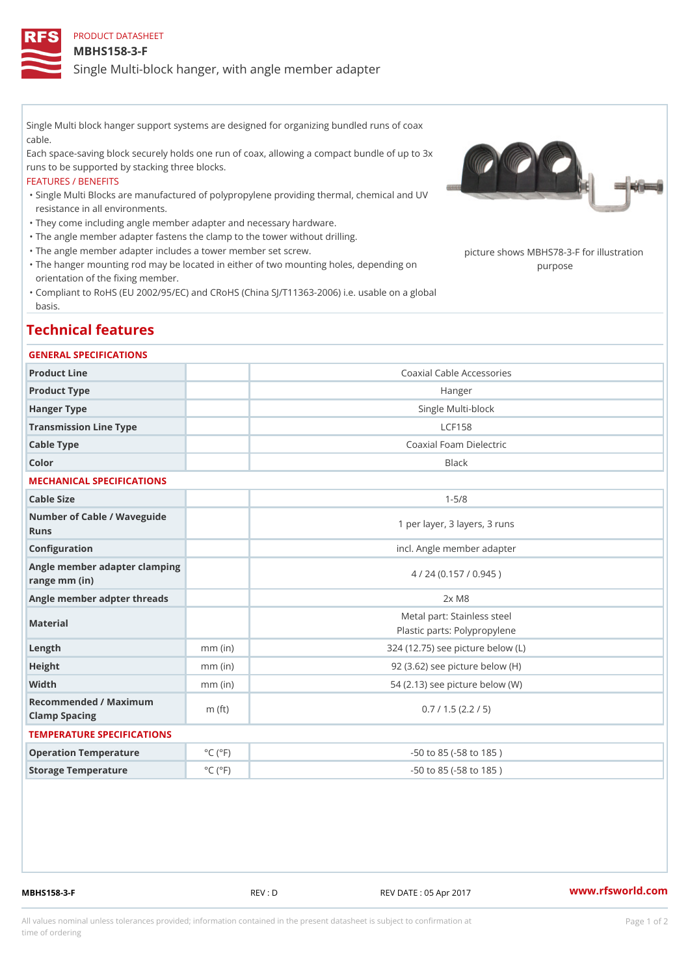# PRODUCT DATASHEET MBHS158-3-F Single Multi-block hanger, with angle member adapter

Single Multi block hanger support systems are designed for organizing bundled runs of coax cable.

Each space-saving block securely holds one run of coax, allowing a compact bundle of up to 3x runs to be supported by stacking three blocks.

### FEATURES / BENEFITS

Single Multi Blocks are manufactured of polypropylene providing thermal, chemical and UV " resistance in all environments.

"They come including angle member adapter and necessary hardware.

- "The angle member adapter fastens the clamp to the tower without drilling.
- "The angle member adapter includes a tower member set screw. picture shows MBHS78-3-F for illu
- "The hanger mounting rod may be located in either of two mounting holes, dep<sub>le</sub>npobigag on orientation of the fixing member.
- Compliant to RoHS (EU 2002/95/EC) and CRoHS (China SJ/T11363-2006) i.e. usable on a global " basis.

## Technical features

### GENERAL SPECIFICATIONS

| Product Line                                   |                             | Coaxial Cable Accessories                                   |  |
|------------------------------------------------|-----------------------------|-------------------------------------------------------------|--|
| Product Type                                   |                             | Hanger                                                      |  |
| Hanger Type                                    |                             | Single Multi-block                                          |  |
| Transmission Line Type                         |                             | LCF158                                                      |  |
| Cable Type                                     |                             | Coaxial Foam Dielectric                                     |  |
| Color                                          |                             | <b>Black</b>                                                |  |
| MECHANICAL SPECIFICATIONS                      |                             |                                                             |  |
| Cable Size                                     |                             | $1 - 5/8$                                                   |  |
| Number of Cable / Waveguide<br>Runs            |                             | 1 per layer, 3 layers, 3 runs                               |  |
| Configuration                                  |                             | incl. Angle member adapter                                  |  |
| Angle member adapter clamping<br>range mm (in) |                             | 4 / 24 (0.157 / 0.945)                                      |  |
| Angle member adpter threads                    |                             | $2x$ M $8$                                                  |  |
| Material                                       |                             | Metal part: Stainless steel<br>Plastic parts: Polypropylene |  |
| Length                                         | $mm$ (in)                   | 324 (12.75) see picture below (L)                           |  |
| Height                                         | $mm$ (in)                   | $92$ $(3.62)$ see picture below $(H)$                       |  |
| Width                                          | $mm$ (in)                   | 54 (2.13) see picture below (W)                             |  |
| Recommended / Maximum<br>Clamp Spacing         | $m$ (ft)                    | 0.7 / 1.5 (2.2 / 5)                                         |  |
| TEMPERATURE SPECIFICATIONS                     |                             |                                                             |  |
| Operation Temperature                          | $^{\circ}$ C ( $^{\circ}$ F | $-50$ to $85$ ( $-58$ to $185$ )                            |  |
| Storage Temperature                            | $^{\circ}$ C ( $^{\circ}$ F | $-50$ to $85$ ( $-58$ to $185$ )                            |  |
|                                                |                             |                                                             |  |

MBHS158-3-F REV : D REV DATE : 05 Apr 2017 [www.](https://www.rfsworld.com)rfsworld.com

All values nominal unless tolerances provided; information contained in the present datasheet is subject to Pcapgeign manation time of ordering